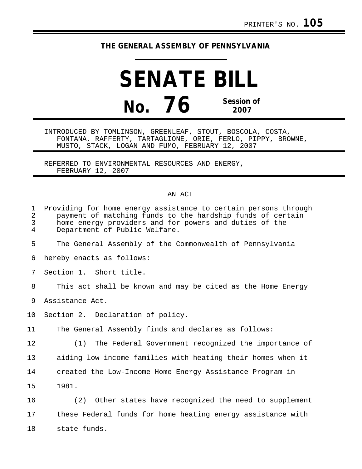## **THE GENERAL ASSEMBLY OF PENNSYLVANIA**

**SENATE BILL No. 76 Session of 2007**

INTRODUCED BY TOMLINSON, GREENLEAF, STOUT, BOSCOLA, COSTA, FONTANA, RAFFERTY, TARTAGLIONE, ORIE, FERLO, PIPPY, BROWNE, MUSTO, STACK, LOGAN AND FUMO, FEBRUARY 12, 2007

REFERRED TO ENVIRONMENTAL RESOURCES AND ENERGY, FEBRUARY 12, 2007

## AN ACT

| $\mathbf 1$<br>$\overline{a}$<br>$\overline{3}$<br>4 | Providing for home energy assistance to certain persons through<br>payment of matching funds to the hardship funds of certain<br>home energy providers and for powers and duties of the<br>Department of Public Welfare. |
|------------------------------------------------------|--------------------------------------------------------------------------------------------------------------------------------------------------------------------------------------------------------------------------|
| 5                                                    | The General Assembly of the Commonwealth of Pennsylvania                                                                                                                                                                 |
| 6                                                    | hereby enacts as follows:                                                                                                                                                                                                |
| 7                                                    | Section 1. Short title.                                                                                                                                                                                                  |
| 8                                                    | This act shall be known and may be cited as the Home Energy                                                                                                                                                              |
| 9                                                    | Assistance Act.                                                                                                                                                                                                          |
| 10                                                   | Section 2. Declaration of policy.                                                                                                                                                                                        |
| 11                                                   | The General Assembly finds and declares as follows:                                                                                                                                                                      |
| 12                                                   | (1) The Federal Government recognized the importance of                                                                                                                                                                  |
| 13                                                   | aiding low-income families with heating their homes when it                                                                                                                                                              |
| 14                                                   | created the Low-Income Home Energy Assistance Program in                                                                                                                                                                 |
| 15                                                   | 1981.                                                                                                                                                                                                                    |
| 16                                                   | (2) Other states have recognized the need to supplement                                                                                                                                                                  |
| 17                                                   | these Federal funds for home heating energy assistance with                                                                                                                                                              |
| 18                                                   | state funds.                                                                                                                                                                                                             |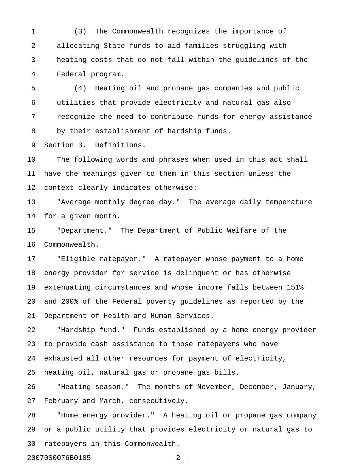1 (3) The Commonwealth recognizes the importance of 2 allocating State funds to aid families struggling with 3 heating costs that do not fall within the guidelines of the 4 Federal program.

5 (4) Heating oil and propane gas companies and public 6 utilities that provide electricity and natural gas also 7 recognize the need to contribute funds for energy assistance 8 by their establishment of hardship funds.

9 Section 3. Definitions.

10 The following words and phrases when used in this act shall 11 have the meanings given to them in this section unless the 12 context clearly indicates otherwise:

13 "Average monthly degree day." The average daily temperature 14 for a given month.

15 "Department." The Department of Public Welfare of the 16 Commonwealth.

17 "Eligible ratepayer." A ratepayer whose payment to a home 18 energy provider for service is delinquent or has otherwise 19 extenuating circumstances and whose income falls between 151% 20 and 200% of the Federal poverty guidelines as reported by the 21 Department of Health and Human Services.

22 "Hardship fund." Funds established by a home energy provider 23 to provide cash assistance to those ratepayers who have 24 exhausted all other resources for payment of electricity, 25 heating oil, natural gas or propane gas bills.

26 "Heating season." The months of November, December, January, 27 February and March, consecutively.

28 "Home energy provider." A heating oil or propane gas company 29 or a public utility that provides electricity or natural gas to 30 ratepayers in this Commonwealth.

20070S0076B0105 - 2 -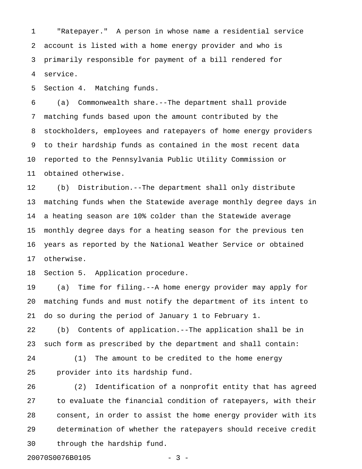1 "Ratepayer." A person in whose name a residential service 2 account is listed with a home energy provider and who is 3 primarily responsible for payment of a bill rendered for 4 service.

5 Section 4. Matching funds.

6 (a) Commonwealth share.--The department shall provide 7 matching funds based upon the amount contributed by the 8 stockholders, employees and ratepayers of home energy providers 9 to their hardship funds as contained in the most recent data 10 reported to the Pennsylvania Public Utility Commission or 11 obtained otherwise.

12 (b) Distribution.--The department shall only distribute 13 matching funds when the Statewide average monthly degree days in 14 a heating season are 10% colder than the Statewide average 15 monthly degree days for a heating season for the previous ten 16 years as reported by the National Weather Service or obtained 17 otherwise.

18 Section 5. Application procedure.

19 (a) Time for filing.--A home energy provider may apply for 20 matching funds and must notify the department of its intent to 21 do so during the period of January 1 to February 1.

22 (b) Contents of application.--The application shall be in 23 such form as prescribed by the department and shall contain:

24 (1) The amount to be credited to the home energy 25 provider into its hardship fund.

26 (2) Identification of a nonprofit entity that has agreed 27 to evaluate the financial condition of ratepayers, with their 28 consent, in order to assist the home energy provider with its 29 determination of whether the ratepayers should receive credit 30 through the hardship fund.

20070S0076B0105 - 3 -